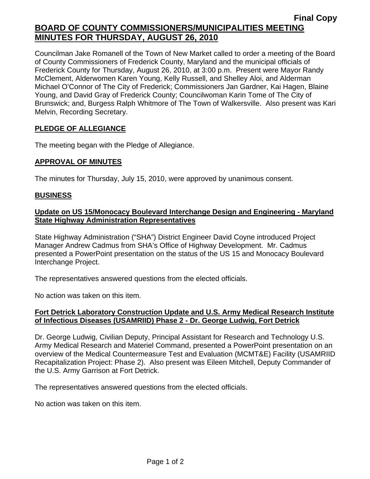# **Final Copy BOARD OF COUNTY COMMISSIONERS/MUNICIPALITIES MEETING MINUTES FOR THURSDAY, AUGUST 26, 2010**

Councilman Jake Romanell of the Town of New Market called to order a meeting of the Board of County Commissioners of Frederick County, Maryland and the municipal officials of Frederick County for Thursday, August 26, 2010, at 3:00 p.m. Present were Mayor Randy McClement, Alderwomen Karen Young, Kelly Russell, and Shelley Aloi, and Alderman Michael O'Connor of The City of Frederick; Commissioners Jan Gardner, Kai Hagen, Blaine Young, and David Gray of Frederick County; Councilwoman Karin Tome of The City of Brunswick; and, Burgess Ralph Whitmore of The Town of Walkersville. Also present was Kari Melvin, Recording Secretary.

## **PLEDGE OF ALLEGIANCE**

The meeting began with the Pledge of Allegiance.

## **APPROVAL OF MINUTES**

The minutes for Thursday, July 15, 2010, were approved by unanimous consent.

## **BUSINESS**

## **Update on US 15/Monocacy Boulevard Interchange Design and Engineering - Maryland State Highway Administration Representatives**

State Highway Administration ("SHA") District Engineer David Coyne introduced Project Manager Andrew Cadmus from SHA's Office of Highway Development. Mr. Cadmus presented a PowerPoint presentation on the status of the US 15 and Monocacy Boulevard Interchange Project.

The representatives answered questions from the elected officials.

No action was taken on this item.

## **Fort Detrick Laboratory Construction Update and U.S. Army Medical Research Institute of Infectious Diseases (USAMRIID) Phase 2 - Dr. George Ludwig, Fort Detrick**

Dr. George Ludwig, Civilian Deputy, Principal Assistant for Research and Technology U.S. Army Medical Research and Materiel Command, presented a PowerPoint presentation on an overview of the Medical Countermeasure Test and Evaluation (MCMT&E) Facility (USAMRIID Recapitalization Project: Phase 2). Also present was Eileen Mitchell, Deputy Commander of the U.S. Army Garrison at Fort Detrick.

The representatives answered questions from the elected officials.

No action was taken on this item.